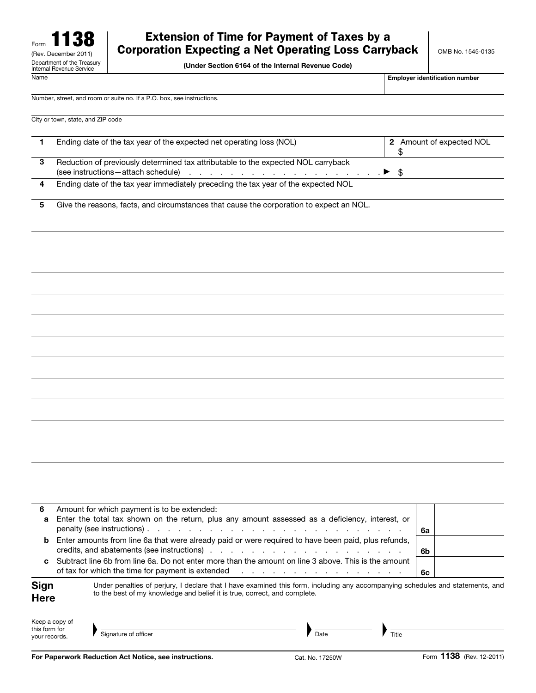(Under Section 6164 of the Internal Revenue Code)

Name **Employer identification number**  $\blacksquare$ 

Number, street, and room or suite no. If a P.O. box, see instructions.

| City or town, state, and ZIP code |  |  |  |
|-----------------------------------|--|--|--|
|-----------------------------------|--|--|--|

| Ending date of the tax year of the expected net operating loss (NOL)               | 2 Amount of expected NOL |
|------------------------------------------------------------------------------------|--------------------------|
| Reduction of previously determined tax attributable to the expected NOL carryback  |                          |
| Ending date of the tax year immediately preceding the tax year of the expected NOL |                          |

5 Give the reasons, facts, and circumstances that cause the corporation to expect an NOL.

| 6                              |                | Amount for which payment is to be extended:                                                                                                                                                                 |    |  |
|--------------------------------|----------------|-------------------------------------------------------------------------------------------------------------------------------------------------------------------------------------------------------------|----|--|
| a                              |                | Enter the total tax shown on the return, plus any amount assessed as a deficiency, interest, or                                                                                                             | 6a |  |
| b                              |                | Enter amounts from line 6a that were already paid or were required to have been paid, plus refunds,                                                                                                         | 6b |  |
| C                              |                | Subtract line 6b from line 6a. Do not enter more than the amount on line 3 above. This is the amount                                                                                                        | 6c |  |
| Sign<br><b>Here</b>            |                | Under penalties of perjury, I declare that I have examined this form, including any accompanying schedules and statements, and<br>to the best of my knowledge and belief it is true, correct, and complete. |    |  |
| this form for<br>vour records. | Keep a copy of | Signature of officer<br>Date<br>Title                                                                                                                                                                       |    |  |

this form for your records. The Signature of officer and the state of the Signature of officer and the Signature of officer  $\blacksquare$ 

| Signature of officer |
|----------------------|